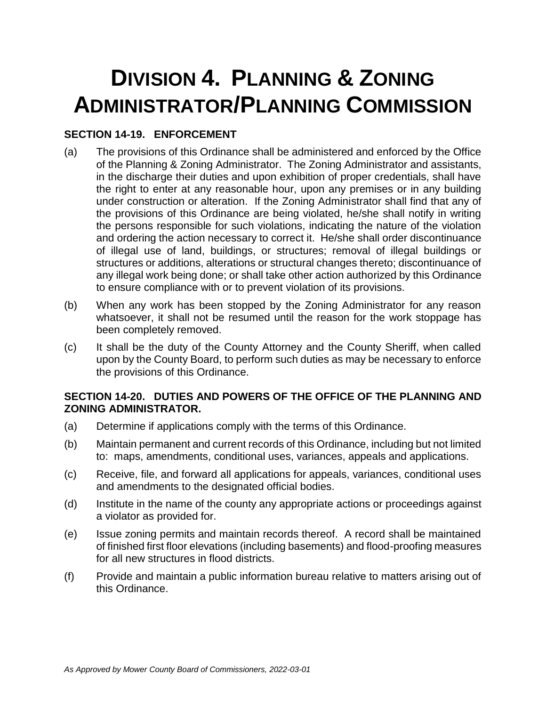# **DIVISION 4. PLANNING & ZONING ADMINISTRATOR/PLANNING COMMISSION**

## **SECTION 14-19. ENFORCEMENT**

- (a) The provisions of this Ordinance shall be administered and enforced by the Office of the Planning & Zoning Administrator. The Zoning Administrator and assistants, in the discharge their duties and upon exhibition of proper credentials, shall have the right to enter at any reasonable hour, upon any premises or in any building under construction or alteration. If the Zoning Administrator shall find that any of the provisions of this Ordinance are being violated, he/she shall notify in writing the persons responsible for such violations, indicating the nature of the violation and ordering the action necessary to correct it. He/she shall order discontinuance of illegal use of land, buildings, or structures; removal of illegal buildings or structures or additions, alterations or structural changes thereto; discontinuance of any illegal work being done; or shall take other action authorized by this Ordinance to ensure compliance with or to prevent violation of its provisions.
- (b) When any work has been stopped by the Zoning Administrator for any reason whatsoever, it shall not be resumed until the reason for the work stoppage has been completely removed.
- (c) It shall be the duty of the County Attorney and the County Sheriff, when called upon by the County Board, to perform such duties as may be necessary to enforce the provisions of this Ordinance.

## **SECTION 14-20. DUTIES AND POWERS OF THE OFFICE OF THE PLANNING AND ZONING ADMINISTRATOR.**

- (a) Determine if applications comply with the terms of this Ordinance.
- (b) Maintain permanent and current records of this Ordinance, including but not limited to: maps, amendments, conditional uses, variances, appeals and applications.
- (c) Receive, file, and forward all applications for appeals, variances, conditional uses and amendments to the designated official bodies.
- (d) Institute in the name of the county any appropriate actions or proceedings against a violator as provided for.
- (e) Issue zoning permits and maintain records thereof. A record shall be maintained of finished first floor elevations (including basements) and flood-proofing measures for all new structures in flood districts.
- (f) Provide and maintain a public information bureau relative to matters arising out of this Ordinance.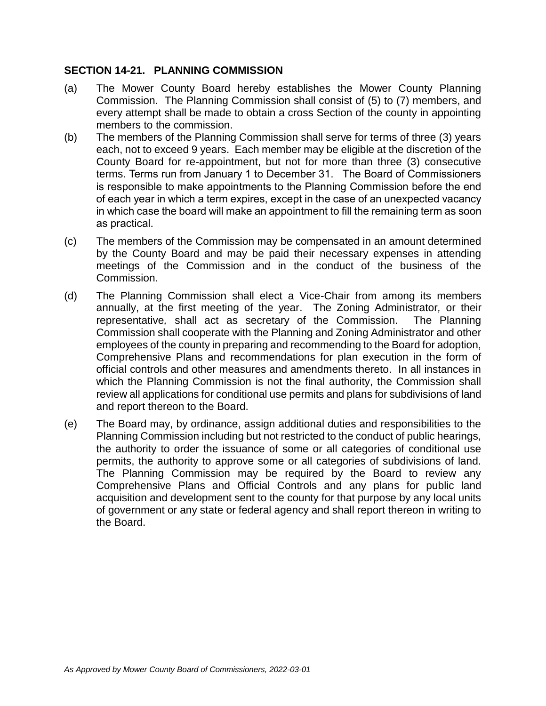## **SECTION 14-21. PLANNING COMMISSION**

- (a) The Mower County Board hereby establishes the Mower County Planning Commission. The Planning Commission shall consist of (5) to (7) members, and every attempt shall be made to obtain a cross Section of the county in appointing members to the commission.
- (b) The members of the Planning Commission shall serve for terms of three (3) years each, not to exceed 9 years. Each member may be eligible at the discretion of the County Board for re-appointment, but not for more than three (3) consecutive terms. Terms run from January 1 to December 31. The Board of Commissioners is responsible to make appointments to the Planning Commission before the end of each year in which a term expires, except in the case of an unexpected vacancy in which case the board will make an appointment to fill the remaining term as soon as practical.
- (c) The members of the Commission may be compensated in an amount determined by the County Board and may be paid their necessary expenses in attending meetings of the Commission and in the conduct of the business of the Commission.
- (d) The Planning Commission shall elect a Vice-Chair from among its members annually, at the first meeting of the year. The Zoning Administrator*,* or their representative*,* shall act as secretary of the Commission. The Planning Commission shall cooperate with the Planning and Zoning Administrator and other employees of the county in preparing and recommending to the Board for adoption, Comprehensive Plans and recommendations for plan execution in the form of official controls and other measures and amendments thereto. In all instances in which the Planning Commission is not the final authority, the Commission shall review all applications for conditional use permits and plans for subdivisions of land and report thereon to the Board.
- (e) The Board may, by ordinance, assign additional duties and responsibilities to the Planning Commission including but not restricted to the conduct of public hearings, the authority to order the issuance of some or all categories of conditional use permits, the authority to approve some or all categories of subdivisions of land. The Planning Commission may be required by the Board to review any Comprehensive Plans and Official Controls and any plans for public land acquisition and development sent to the county for that purpose by any local units of government or any state or federal agency and shall report thereon in writing to the Board.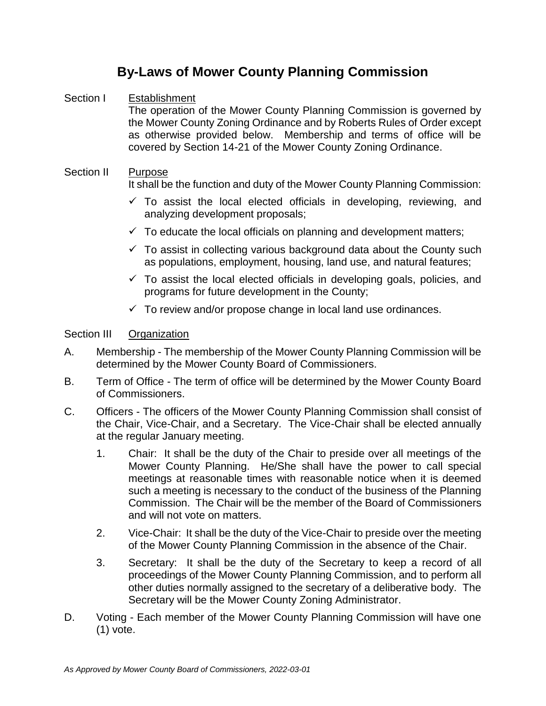## **By-Laws of Mower County Planning Commission**

## Section I Establishment

The operation of the Mower County Planning Commission is governed by the Mower County Zoning Ordinance and by Roberts Rules of Order except as otherwise provided below. Membership and terms of office will be covered by Section 14-21 of the Mower County Zoning Ordinance.

#### Section II Purpose It shall be the function and duty of the Mower County Planning Commission:

- $\checkmark$  To assist the local elected officials in developing, reviewing, and analyzing development proposals;
- $\checkmark$  To educate the local officials on planning and development matters;
- $\checkmark$  To assist in collecting various background data about the County such as populations, employment, housing, land use, and natural features;
- $\checkmark$  To assist the local elected officials in developing goals, policies, and programs for future development in the County;
- $\checkmark$  To review and/or propose change in local land use ordinances.

## Section III Organization

- A. Membership The membership of the Mower County Planning Commission will be determined by the Mower County Board of Commissioners.
- B. Term of Office The term of office will be determined by the Mower County Board of Commissioners.
- C. Officers The officers of the Mower County Planning Commission shall consist of the Chair, Vice-Chair, and a Secretary. The Vice-Chair shall be elected annually at the regular January meeting.
	- 1. Chair: It shall be the duty of the Chair to preside over all meetings of the Mower County Planning. He/She shall have the power to call special meetings at reasonable times with reasonable notice when it is deemed such a meeting is necessary to the conduct of the business of the Planning Commission. The Chair will be the member of the Board of Commissioners and will not vote on matters.
	- 2. Vice-Chair: It shall be the duty of the Vice-Chair to preside over the meeting of the Mower County Planning Commission in the absence of the Chair.
	- 3. Secretary: It shall be the duty of the Secretary to keep a record of all proceedings of the Mower County Planning Commission, and to perform all other duties normally assigned to the secretary of a deliberative body. The Secretary will be the Mower County Zoning Administrator.
- D. Voting Each member of the Mower County Planning Commission will have one (1) vote.